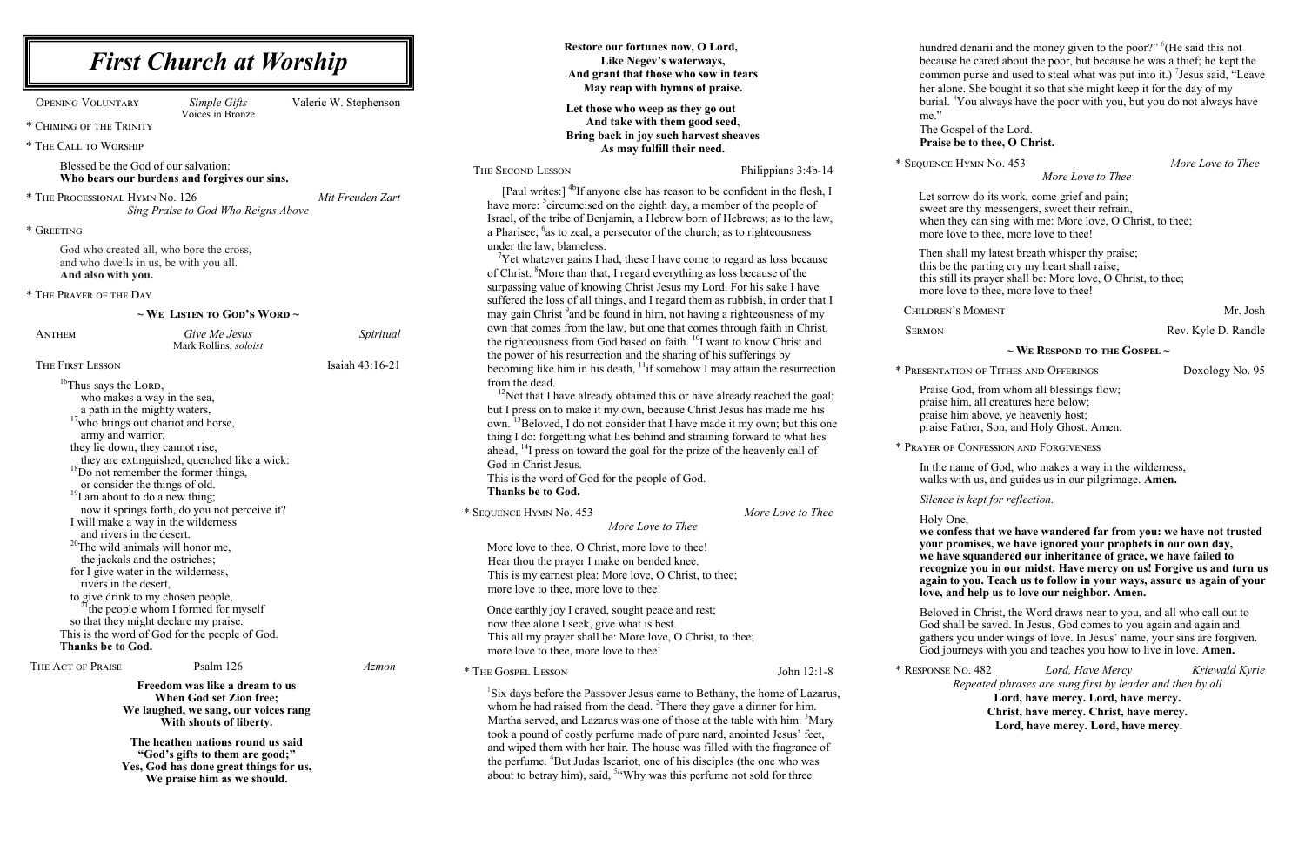**Restore our fortunes now, O Lord, Like Negev's waterways, And grant that those who sow in tears** 

hundred denarii and the money given to the poor?" <sup>6</sup>(He said this not because he cared about the poor, but because he was a thief; he kept the common purse and used to steal what was put into it.) <sup>7</sup> Jesus said, "Leave here. She bought it so that she might keep it for the day of my  $\rm ^8$ You always have the poor with you, but you do not always have

#### ospel of the Lord. be to thee, O Christ.

No. 482 *Lord, Have Mercy Kriewald Kyrie Repeated phrases are sung first by leader and then by all*  **Lord, have mercy. Lord, have mercy. Christ, have mercy. Christ, have mercy. Lord, have mercy. Lord, have mercy.**

*More Love to Thee*

*K* Hymn No. 453 *More Love to Thee* 

row do its work, come grief and pain; are thy messengers, sweet their refrain, hey can sing with me: More love, O Christ, to thee; by to thee, more love to thee!

hall my latest breath whisper thy praise; the parting cry my heart shall raise; It its prayer shall be: More love, O Christ, to thee; by to thee, more love to thee!

's Moment Mr. Josh

Rev. Kyle D. Randle

|                                                                                                                                                                                                                                                                                                                                                                                                                                                                                                                                                                                                                                                                                                                                                                                                                                                                              |                       | May reap with hymns of praise.                                                                                                                                                                                                                                                                                                                                                                                                                                                                                                                                                                                                                                                                                                                                                                                                                                                                                                                                                                                |                     | her alo                                                                                                                                                                                                      |
|------------------------------------------------------------------------------------------------------------------------------------------------------------------------------------------------------------------------------------------------------------------------------------------------------------------------------------------------------------------------------------------------------------------------------------------------------------------------------------------------------------------------------------------------------------------------------------------------------------------------------------------------------------------------------------------------------------------------------------------------------------------------------------------------------------------------------------------------------------------------------|-----------------------|---------------------------------------------------------------------------------------------------------------------------------------------------------------------------------------------------------------------------------------------------------------------------------------------------------------------------------------------------------------------------------------------------------------------------------------------------------------------------------------------------------------------------------------------------------------------------------------------------------------------------------------------------------------------------------------------------------------------------------------------------------------------------------------------------------------------------------------------------------------------------------------------------------------------------------------------------------------------------------------------------------------|---------------------|--------------------------------------------------------------------------------------------------------------------------------------------------------------------------------------------------------------|
| <b>OPENING VOLUNTARY</b><br>Simple Gifts<br>Voices in Bronze                                                                                                                                                                                                                                                                                                                                                                                                                                                                                                                                                                                                                                                                                                                                                                                                                 | Valerie W. Stephenson | Let those who weep as they go out                                                                                                                                                                                                                                                                                                                                                                                                                                                                                                                                                                                                                                                                                                                                                                                                                                                                                                                                                                             |                     | burial.<br>me."                                                                                                                                                                                              |
| * CHIMING OF THE TRINITY                                                                                                                                                                                                                                                                                                                                                                                                                                                                                                                                                                                                                                                                                                                                                                                                                                                     |                       | And take with them good seed,<br>Bring back in joy such harvest sheaves                                                                                                                                                                                                                                                                                                                                                                                                                                                                                                                                                                                                                                                                                                                                                                                                                                                                                                                                       |                     | The Go                                                                                                                                                                                                       |
| * THE CALL TO WORSHIP                                                                                                                                                                                                                                                                                                                                                                                                                                                                                                                                                                                                                                                                                                                                                                                                                                                        |                       | As may fulfill their need.                                                                                                                                                                                                                                                                                                                                                                                                                                                                                                                                                                                                                                                                                                                                                                                                                                                                                                                                                                                    |                     | <b>Praise</b>                                                                                                                                                                                                |
| Blessed be the God of our salvation:<br>Who bears our burdens and forgives our sins.                                                                                                                                                                                                                                                                                                                                                                                                                                                                                                                                                                                                                                                                                                                                                                                         |                       | THE SECOND LESSON                                                                                                                                                                                                                                                                                                                                                                                                                                                                                                                                                                                                                                                                                                                                                                                                                                                                                                                                                                                             | Philippians 3:4b-14 | * SEQUENCE                                                                                                                                                                                                   |
| * THE PROCESSIONAL HYMN No. 126<br>Sing Praise to God Who Reigns Above<br>* GREETING                                                                                                                                                                                                                                                                                                                                                                                                                                                                                                                                                                                                                                                                                                                                                                                         | Mit Freuden Zart      | [Paul writes:] <sup>4b</sup> If anyone else has reason to be confident in the flesh, I<br>have more: <sup>5</sup> circumcised on the eighth day, a member of the people of<br>Israel, of the tribe of Benjamin, a Hebrew born of Hebrews; as to the law,<br>a Pharisee; <sup>6</sup> as to zeal, a persecutor of the church; as to righteousness                                                                                                                                                                                                                                                                                                                                                                                                                                                                                                                                                                                                                                                              |                     | Let sor<br>sweet a<br>when tl<br>more lo                                                                                                                                                                     |
| God who created all, who bore the cross,<br>and who dwells in us, be with you all.<br>And also with you.                                                                                                                                                                                                                                                                                                                                                                                                                                                                                                                                                                                                                                                                                                                                                                     |                       | under the law, blameless.<br>$\mathrm{V}$ Yet whatever gains I had, these I have come to regard as loss because<br>of Christ. <sup>8</sup> More than that, I regard everything as loss because of the                                                                                                                                                                                                                                                                                                                                                                                                                                                                                                                                                                                                                                                                                                                                                                                                         |                     | Then sl<br>this be<br>this stil                                                                                                                                                                              |
| * THE PRAYER OF THE DAY                                                                                                                                                                                                                                                                                                                                                                                                                                                                                                                                                                                                                                                                                                                                                                                                                                                      |                       | surpassing value of knowing Christ Jesus my Lord. For his sake I have<br>suffered the loss of all things, and I regard them as rubbish, in order that I                                                                                                                                                                                                                                                                                                                                                                                                                                                                                                                                                                                                                                                                                                                                                                                                                                                       |                     | more lo                                                                                                                                                                                                      |
| $\sim$ We Listen to God's Word $\sim$                                                                                                                                                                                                                                                                                                                                                                                                                                                                                                                                                                                                                                                                                                                                                                                                                                        |                       | may gain Christ <sup>9</sup> and be found in him, not having a righteousness of my                                                                                                                                                                                                                                                                                                                                                                                                                                                                                                                                                                                                                                                                                                                                                                                                                                                                                                                            |                     | <b>CHILDREN</b>                                                                                                                                                                                              |
| Give Me Jesus<br><b>ANTHEM</b><br>Mark Rollins, soloist                                                                                                                                                                                                                                                                                                                                                                                                                                                                                                                                                                                                                                                                                                                                                                                                                      | Spiritual             | own that comes from the law, but one that comes through faith in Christ,<br>the righteousness from God based on faith. <sup>10</sup> I want to know Christ and                                                                                                                                                                                                                                                                                                                                                                                                                                                                                                                                                                                                                                                                                                                                                                                                                                                |                     | <b>SERMON</b>                                                                                                                                                                                                |
| THE FIRST LESSON                                                                                                                                                                                                                                                                                                                                                                                                                                                                                                                                                                                                                                                                                                                                                                                                                                                             | Isaiah 43:16-21       | the power of his resurrection and the sharing of his sufferings by<br>becoming like him in his death, $\frac{11}{11}$ somehow I may attain the resurrection                                                                                                                                                                                                                                                                                                                                                                                                                                                                                                                                                                                                                                                                                                                                                                                                                                                   |                     | * PRESENTAT                                                                                                                                                                                                  |
| <sup>16</sup> Thus says the LORD,<br>who makes a way in the sea,<br>a path in the mighty waters,<br><sup>17</sup> who brings out chariot and horse,<br>army and warrior;<br>they lie down, they cannot rise,<br>they are extinguished, quenched like a wick:<br><sup>18</sup> Do not remember the former things,<br>or consider the things of old.<br>$^{19}$ I am about to do a new thing;<br>now it springs forth, do you not perceive it?<br>I will make a way in the wilderness<br>and rivers in the desert.<br>$20$ The wild animals will honor me,<br>the jackals and the ostriches;<br>for I give water in the wilderness,<br>rivers in the desert,<br>to give drink to my chosen people,<br><sup>21</sup> the people whom I formed for myself<br>so that they might declare my praise.<br>This is the word of God for the people of God.<br><b>Thanks be to God.</b> |                       | from the dead.<br>$12$ Not that I have already obtained this or have already reached the goal;<br>but I press on to make it my own, because Christ Jesus has made me his<br>own. <sup>13</sup> Beloved, I do not consider that I have made it my own; but this one<br>thing I do: forgetting what lies behind and straining forward to what lies<br>ahead, <sup>14</sup> I press on toward the goal for the prize of the heavenly call of<br>God in Christ Jesus.<br>This is the word of God for the people of God.<br><b>Thanks be to God.</b><br>* SEQUENCE HYMN No. 453<br>More Love to Thee<br>More love to thee, O Christ, more love to thee!<br>Hear thou the prayer I make on bended knee.<br>This is my earnest plea: More love, O Christ, to thee;<br>more love to thee, more love to thee!<br>Once earthly joy I craved, sought peace and rest;<br>now thee alone I seek, give what is best.<br>This all my prayer shall be: More love, O Christ, to thee;<br>more love to thee, more love to thee! | More Love to Thee   | Praise<br>praise l<br>praise l<br>praise l<br>* PRAYER OF<br>In the r<br>walks y<br>Silence<br>Holy O<br>we con<br>your p<br>we hav<br>recogn<br>again t<br>love, a<br>Belove<br>God sh<br>gathers<br>God jo |
| THE ACT OF PRAISE<br>Psalm 126<br>Freedom was like a dream to us<br>When God set Zion free;<br>We laughed, we sang, our voices rang<br>With shouts of liberty.<br>The heathen nations round us said<br>"God's gifts to them are good;"<br>Yes, God has done great things for us,<br>We praise him as we should.                                                                                                                                                                                                                                                                                                                                                                                                                                                                                                                                                              | Azmon                 | * THE GOSPEL LESSON<br><sup>1</sup> Six days before the Passover Jesus came to Bethany, the home of Lazarus,<br>whom he had raised from the dead. <sup>2</sup> There they gave a dinner for him.<br>Martha served, and Lazarus was one of those at the table with him. <sup>3</sup> Mary<br>took a pound of costly perfume made of pure nard, anointed Jesus' feet,<br>and wiped them with her hair. The house was filled with the fragrance of<br>the perfume. <sup>4</sup> But Judas Iscariot, one of his disciples (the one who was<br>about to betray him), said, $54$ Why was this perfume not sold for three                                                                                                                                                                                                                                                                                                                                                                                            | John 12:1-8         | * RESPONSE                                                                                                                                                                                                   |

#### **~ We Respond to the Gospel ~**

#### TION OF TITHES AND OFFERINGS Doxology No. 95

God, from whom all blessings flow; him, all creatures here below; him above, ye heavenly host; Father, Son, and Holy Ghost. Amen.

<sup>7</sup> CONFESSION AND FORGIVENESS

name of God, who makes a way in the wilderness, with us, and guides us in our pilgrimage. **Amen.** 

*is kept for reflection.* 

)ne,

**we confess that we have wandered far from you: we have not trusted your promises, we have ignored your prophets in our own day, we have squandered our inheritance of grace, we have failed to rize you in our midst. Have mercy on us! Forgive us and turn us again to you. Teach us to follow in your ways, assure us again of your love, and help us to love our neighbor. Amen.**

d in Christ, the Word draws near to you, and all who call out to all be saved. In Jesus, God comes to you again and again and gou under wings of love. In Jesus' name, your sins are forgiven. urneys with you and teaches you how to live in love. Amen.

*First Church at Worship*